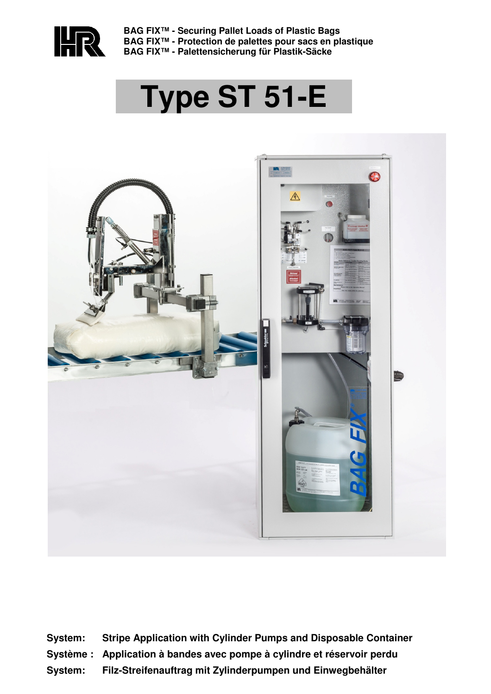

**BAG FIX™ - Securing Pallet Loads of Plastic Bags BAG FIX™ - Protection de palettes pour sacs en plastique BAG FIX™ - Palettensicherung für Plastik-Säcke** 

# **Type ST 51-E**



**System: Stripe Application with Cylinder Pumps and Disposable Container Système : Application à bandes avec pompe à cylindre et réservoir perdu System: Filz-Streifenauftrag mit Zylinderpumpen und Einwegbehälter**